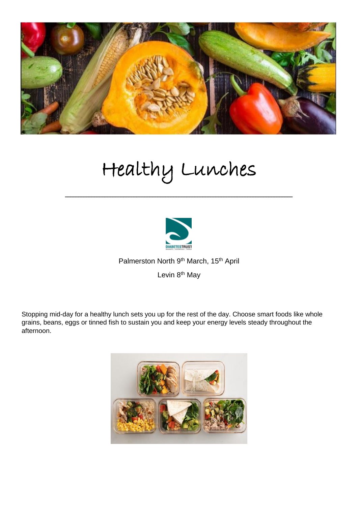

# Healthy Lunches

\_\_\_\_\_\_\_\_\_\_\_\_\_\_\_\_\_\_\_\_\_\_\_\_\_\_\_\_\_\_\_\_\_\_\_\_\_\_\_\_\_\_\_\_\_\_\_\_\_\_\_\_\_\_\_\_\_\_\_\_\_\_\_\_\_\_\_\_\_\_\_\_\_\_\_\_\_\_\_\_\_\_\_\_\_\_



Palmerston North 9<sup>th</sup> March, 15<sup>th</sup> April

Levin 8<sup>th</sup> May

Stopping mid-day for a healthy lunch sets you up for the rest of the day. Choose smart foods like whole grains, beans, eggs or tinned fish to sustain you and keep your energy levels steady throughout the afternoon.

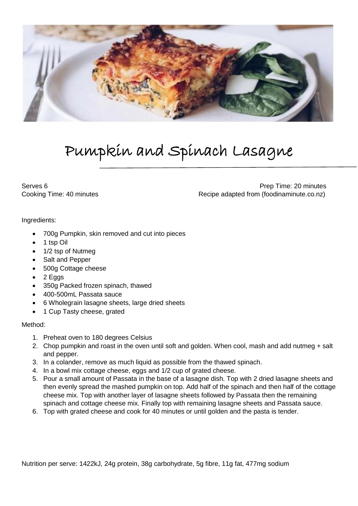

### Pumpkin and Spinach Lasagne

Serves 6 **Prep Time: 20 minutes** Cooking Time: 40 minutes **Recipe adapted from (foodinaminute.co.nz)** 

Ingredients:

- 700g Pumpkin, skin removed and cut into pieces
- 1 tsp Oil
- 1/2 tsp of Nutmeg
- Salt and Pepper
- 500g Cottage cheese
- $\bullet$  2 Eggs
- 350g Packed frozen spinach, thawed
- 400-500mL Passata sauce
- 6 Wholegrain lasagne sheets, large dried sheets
- 1 Cup Tasty cheese, grated

### Method:

- 1. Preheat oven to 180 degrees Celsius
- 2. Chop pumpkin and roast in the oven until soft and golden. When cool, mash and add nutmeg + salt and pepper.
- 3. In a colander, remove as much liquid as possible from the thawed spinach.
- 4. In a bowl mix cottage cheese, eggs and 1/2 cup of grated cheese.
- 5. Pour a small amount of Passata in the base of a lasagne dish. Top with 2 dried lasagne sheets and then evenly spread the mashed pumpkin on top. Add half of the spinach and then half of the cottage cheese mix. Top with another layer of lasagne sheets followed by Passata then the remaining spinach and cottage cheese mix. Finally top with remaining lasagne sheets and Passata sauce.
- 6. Top with grated cheese and cook for 40 minutes or until golden and the pasta is tender.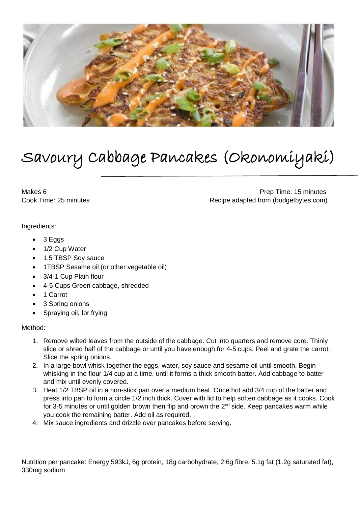

## Savoury Cabbage Pancakes (Okonomiyaki)

Makes 6 **Prep Time: 15 minutes** Prep Time: 15 minutes Cook Time: 25 minutes Cook Time: 25 minutes Recipe adapted from (budgetbytes.com)

Ingredients:

- $\bullet$  3 Eggs
- 1/2 Cup Water
- 1.5 TBSP Soy sauce
- 1TBSP Sesame oil (or other vegetable oil)
- 3/4-1 Cup Plain flour
- 4-5 Cups Green cabbage, shredded
- 1 Carrot
- 3 Spring onions
- Spraying oil, for frying

#### Method:

- 1. Remove wilted leaves from the outside of the cabbage. Cut into quarters and remove core. Thinly slice or shred half of the cabbage or until you have enough for 4-5 cups. Peel and grate the carrot. Slice the spring onions.
- 2. In a large bowl whisk together the eggs, water, soy sauce and sesame oil until smooth. Begin whisking in the flour 1/4 cup at a time, until it forms a thick smooth batter. Add cabbage to batter and mix until evenly covered.
- 3. Heat 1/2 TBSP oil in a non-stick pan over a medium heat. Once hot add 3/4 cup of the batter and press into pan to form a circle 1/2 inch thick. Cover with lid to help soften cabbage as it cooks. Cook for 3-5 minutes or until golden brown then flip and brown the  $2^{nd}$  side. Keep pancakes warm while you cook the remaining batter. Add oil as required.
- 4. Mix sauce ingredients and drizzle over pancakes before serving.

Nutrition per pancake: Energy 593kJ, 6g protein, 18g carbohydrate, 2.6g fibre, 5.1g fat (1.2g saturated fat), 330mg sodium